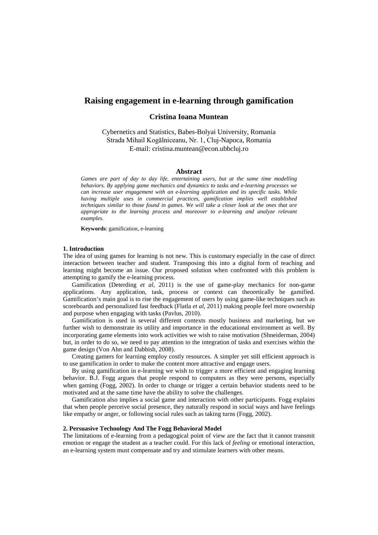# **Raising engagement in e-learning through gamification**

# **Cristina Ioana Muntean**

Cybernetics and Statistics, Babes-Bolyai University, Romania Strada Mihail Kogălniceanu, Nr. 1, Cluj-Napoca, Romania E-mail: cristina.muntean@econ.ubbcluj.ro

# **Abstract**

*Games are part of day to day life, entertaining users, but at the same time modelling behaviors. By applying game mechanics and dynamics to tasks and e-learning processes we can increase user engagement with an e-learning application and its specific tasks. While having multiple uses in commercial practices, gamification implies well established techniques similar to those found in games. We will take a closer look at the ones that are appropriate to the learning process and moreover to e-learning and analyze relevant examples.*

**Keywords**: gamification, e-learning

## **1. Introduction**

The idea of using games for learning is not new. This is customary especially in the case of direct interaction between teacher and student. Transposing this into a digital form of teaching and learning might become an issue. Our proposed solution when confronted with this problem is attempting to gamify the e-learning process.

Gamification (Deterding *et al*, 2011) is the use of game-play mechanics for non-game applications. Any application, task, process or context can theoretically be gamified. Gamification's main goal is to rise the engagement of users by using game-like techniques such as scoreboards and personalized fast feedback (Flatla *et al*, 2011) making people feel more ownership and purpose when engaging with tasks (Pavlus, 2010).

Gamification is used in several different contexts mostly business and marketing, but we further wish to demonstrate its utility and importance in the educational environment as well. By incorporating game elements into work activities we wish to raise motivation (Shneiderman, 2004) but, in order to do so, we need to pay attention to the integration of tasks and exercises within the game design (Von Ahn and Dabbish, 2008).

Creating gamers for learning employ costly resources. A simpler yet still efficient approach is to use gamification in order to make the content more attractive and engage users.

By using gamification in e-learning we wish to trigger a more efficient and engaging learning behavior. B.J. Fogg argues that people respond to computers as they were persons, especially when gaming (Fogg, 2002). In order to change or trigger a certain behavior students need to be motivated and at the same time have the ability to solve the challenges.

Gamification also implies a social game and interaction with other participants. Fogg explains that when people perceive social presence, they naturally respond in social ways and have feelings like empathy or anger, or following social rules such as taking turns (Fogg, 2002).

# **2. Persuasive Technology And The Fogg Behavioral Model**

The limitations of e-learning from a pedagogical point of view are the fact that it cannot transmit emotion or engage the student as a teacher could. For this lack of *feeling* or emotional interaction, an e-learning system must compensate and try and stimulate learners with other means.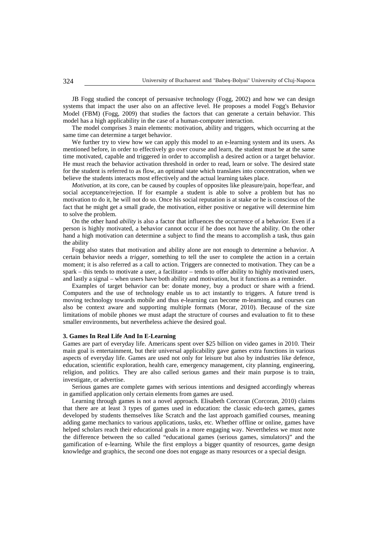JB Fogg studied the concept of persuasive technology (Fogg, 2002) and how we can design systems that impact the user also on an affective level. He proposes a model Fogg's Behavior Model (FBM) (Fogg, 2009) that studies the factors that can generate a certain behavior. This model has a high applicability in the case of a human-computer interaction.

The model comprises 3 main elements: motivation, ability and triggers, which occurring at the same time can determine a target behavior.

We further try to view how we can apply this model to an e-learning system and its users. As mentioned before, in order to effectively go over course and learn, the student must be at the same time motivated, capable and triggered in order to accomplish a desired action or a target behavior. He must reach the behavior activation threshold in order to read, learn or solve. The desired state for the student is referred to as flow, an optimal state which translates into concentration, when we believe the students interacts most effectively and the actual learning takes place.

*Motivation*, at its core, can be caused by couples of opposites like pleasure/pain, hope/fear, and social acceptance/rejection. If for example a student is able to solve a problem but has no motivation to do it, he will not do so. Once his social reputation is at stake or he is conscious of the fact that he might get a small grade, the motivation, either positive or negative will determine him to solve the problem.

On the other hand *ability* is also a factor that influences the occurrence of a behavior. Even if a person is highly motivated, a behavior cannot occur if he does not have the ability. On the other hand a high motivation can determine a subject to find the means to accomplish a task, thus gain the ability

Fogg also states that motivation and ability alone are not enough to determine a behavior. A certain behavior needs a *trigger*, something to tell the user to complete the action in a certain moment; it is also referred as a call to action. Triggers are connected to motivation. They can be a spark – this tends to motivate a user, a facilitator – tends to offer ability to highly motivated users, and lastly a signal – when users have both ability and motivation, but it functions as a reminder.

Examples of target behavior can be: donate money, buy a product or share with a friend. Computers and the use of technology enable us to act instantly to triggers. A future trend is moving technology towards mobile and thus e-learning can become m-learning, and courses can also be context aware and supporting multiple formats (Morar, 2010). Because of the size limitations of mobile phones we must adapt the structure of courses and evaluation to fit to these smaller environments, but nevertheless achieve the desired goal.

# **3. Games In Real Life And In E-Learning**

Games are part of everyday life. Americans spent over \$25 billion on video games in 2010. Their main goal is entertainment, but their universal applicability gave games extra functions in various aspects of everyday life. Games are used not only for leisure but also by industries like defence, education, scientific exploration, health care, emergency management, city planning, engineering, religion, and politics. They are also called serious games and their main purpose is to train, investigate, or advertise.

Serious games are complete games with serious intentions and designed accordingly whereas in gamified application only certain elements from games are used.

Learning through games is not a novel approach. Elisabeth Corcoran (Corcoran, 2010) claims that there are at least 3 types of games used in education: the classic edu-tech games, games developed by students themselves like Scratch and the last approach gamified courses, meaning adding game mechanics to various applications, tasks, etc. Whether offline or online, games have helped scholars reach their educational goals in a more engaging way. Nevertheless we must note the difference between the so called "educational games (serious games, simulators)" and the gamification of e-learning. While the first employs a bigger quantity of resources, game design knowledge and graphics, the second one does not engage as many resources or a special design.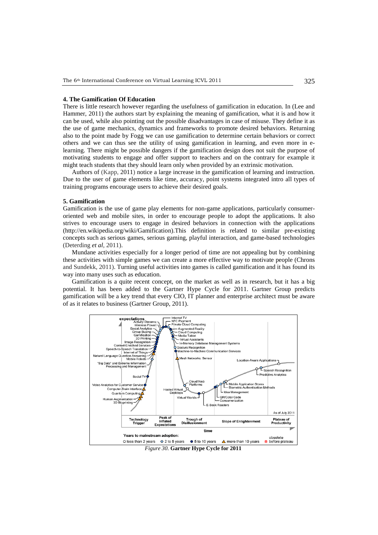#### **4. The Gamification Of Education**

There is little research however regarding the usefulness of gamification in education. In (Lee and Hammer, 2011) the authors start by explaining the meaning of gamification, what it is and how it can be used, while also pointing out the possible disadvantages in case of misuse. They define it as the use of game mechanics, dynamics and frameworks to promote desired behaviors. Returning also to the point made by Fogg we can use gamification to determine certain behaviors or correct others and we can thus see the utility of using gamification in learning, and even more in elearning. There might be possible dangers if the gamification design does not suit the purpose of motivating students to engage and offer support to teachers and on the contrary for example it might teach students that they should learn only when provided by an extrinsic motivation.

Authors of (Kapp, 2011) notice a large increase in the gamification of learning and instruction. Due to the user of game elements like time, accuracy, point systems integrated intro all types of training programs encourage users to achieve their desired goals.

### **5. Gamification**

Gamification is the use of game play elements for non-game applications, particularly consumeroriented web and mobile sites, in order to encourage people to adopt the applications. It also strives to encourage users to engage in desired behaviors in connection with the applications (http://en.wikipedia.org/wiki/Gamification).This definition is related to similar pre-existing concepts such as serious games, serious gaming, playful interaction, and game-based technologies (Deterding *et al*, 2011).

Mundane activities especially for a longer period of time are not appealing but by combining these activities with simple games we can create a more effective way to motivate people (Chrons and Sundekk, 2011). Turning useful activities into games is called gamification and it has found its way into many uses such as education.

Gamification is a quite recent concept, on the market as well as in research, but it has a big potential. It has been added to the Gartner Hype Cycle for 2011. Gartner Group predicts gamification will be a key trend that every CIO, IT planner and enterprise architect must be aware of as it relates to business (Gartner Group, 2011).

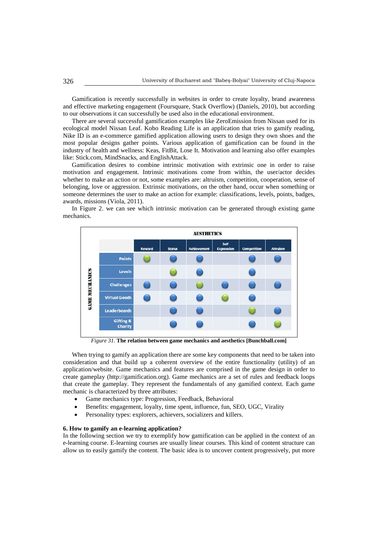Gamification is recently successfully in websites in order to create loyalty, brand awareness and effective marketing engagement (Foursquare, Stack Overflow) (Daniels, 2010), but according to our observations it can successfully be used also in the educational environment.

There are several successful gamification examples like ZeroEmission from Nissan used for its ecological model Nissan Leaf. Kobo Reading Life is an application that tries to gamify reading, Nike ID is an e-commerce gamified application allowing users to design they own shoes and the most popular designs gather points. Various application of gamification can be found in the industry of health and wellness: Keas, FitBit, Lose It. Motivation and learning also offer examples like: Stick.com, MindSnacks, and EnglishAttack.

Gamification desires to combine intrinsic motivation with extrinsic one in order to raise motivation and engagement. Intrinsic motivations come from within, the user/actor decides whether to make an action or not, some examples are: altruism, competition, cooperation, sense of belonging, love or aggression. Extrinsic motivations, on the other hand, occur when something or someone determines the user to make an action for example: classifications, levels, points, badges, awards, missions (Viola, 2011).

In Figure 2. we can see which intrinsic motivation can be generated through existing game mechanics.



*Figure 31.* **The relation between game mechanics and aesthetics [Bunchball.com]**

When trying to gamify an application there are some key components that need to be taken into consideration and that build up a coherent overview of the entire functionality (utility) of an application/website. Game mechanics and features are comprised in the game design in order to create gameplay (http://gamification.org). Game mechanics are a set of rules and feedback loops that create the gameplay. They represent the fundamentals of any gamified context. Each game mechanic is characterized by three attributes:

- Game mechanics type: Progression, Feedback, Behavioral
- Benefits: engagement, loyalty, time spent, influence, fun, SEO, UGC, Virality
- Personality types: explorers, achievers, socializers and killers.

# **6. How to gamify an e-learning application?**

In the following section we try to exemplify how gamification can be applied in the context of an e-learning course. E-learning courses are usually linear courses. This kind of content structure can allow us to easily gamify the content. The basic idea is to uncover content progressively, put more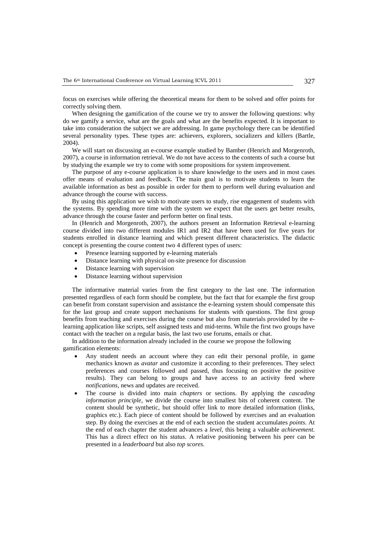focus on exercises while offering the theoretical means for them to be solved and offer points for correctly solving them.

When designing the gamification of the course we try to answer the following questions: why do we gamify a service, what are the goals and what are the benefits expected. It is important to take into consideration the subject we are addressing. In game psychology there can be identified several personality types. These types are: achievers, explorers, socializers and killers (Bartle, 2004).

We will start on discussing an e-course example studied by Bamber (Henrich and Morgenroth, 2007), a course in information retrieval. We do not have access to the contents of such a course but by studying the example we try to come with some propositions for system improvement.

The purpose of any e-course application is to share knowledge to the users and in most cases offer means of evaluation and feedback. The main goal is to motivate students to learn the available information as best as possible in order for them to perform well during evaluation and advance through the course with success.

By using this application we wish to motivate users to study, rise engagement of students with the systems. By spending more time with the system we expect that the users get better results, advance through the course faster and perform better on final tests.

In (Henrich and Morgenroth, 2007), the authors present an Information Retrieval e-learning course divided into two different modules IR1 and IR2 that have been used for five years for students enrolled in distance learning and which present different characteristics. The didactic concept is presenting the course content two 4 different types of users:

- Presence learning supported by e-learning materials
- Distance learning with physical on-site presence for discussion
- Distance learning with supervision
- Distance learning without supervision

The informative material varies from the first category to the last one. The information presented regardless of each form should be complete, but the fact that for example the first group can benefit from constant supervision and assistance the e-learning system should compensate this for the last group and create support mechanisms for students with questions. The first group benefits from teaching and exercises during the course but also from materials provided by the elearning application like scripts, self assigned tests and mid-terms. While the first two groups have contact with the teacher on a regular basis, the last two use forums, emails or chat.

In addition to the information already included in the course we propose the following gamification elements:

- Any student needs an account where they can edit their personal profile, in game mechanics known as *avatar* and customize it according to their preferences. They select preferences and courses followed and passed, thus focusing on positive the positive results). They can belong to groups and have access to an activity feed where *notifications*, news and updates are received.
- The course is divided into main *chapters* or sections. By applying the *cascading information principle*, we divide the course into smallest bits of coherent content. The content should be synthetic, but should offer link to more detailed information (links, graphics etc.). Each piece of content should be followed by exercises and an evaluation step. By doing the exercises at the end of each section the student accumulates *points*. At the end of each chapter the student advances a *level*, this being a valuable *achievement*. This has a direct effect on his *status*. A relative positioning between his peer can be presented in a *leaderboard* but also *top scores*.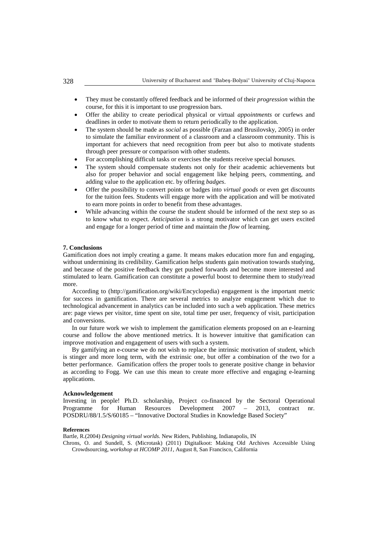- They must be constantly offered feedback and be informed of their *progression* within the course, for this it is important to use progression bars.
- Offer the ability to create periodical physical or virtual *appointments* or curfews and deadlines in order to motivate them to return periodically to the application.
- The system should be made as *social* as possible (Farzan and Brusilovsky, 2005) in order to simulate the familiar environment of a classroom and a classroom community. This is important for achievers that need recognition from peer but also to motivate students through peer pressure or comparison with other students.
- For accomplishing difficult tasks or exercises the students receive special *bonuses.*
- The system should compensate students not only for their academic achievements but also for proper behavior and social engagement like helping peers, commenting, and adding value to the application etc. by offering *badges*.
- Offer the possibility to convert points or badges into *virtual goods* or even get discounts for the tuition fees. Students will engage more with the application and will be motivated to earn more points in order to benefit from these advantages.
- While advancing within the course the student should be informed of the next step so as to know what to expect. *Anticipation* is a strong motivator which can get users excited and engage for a longer period of time and maintain the *flow* of learning.

### **7. Conclusions**

Gamification does not imply creating a game. It means makes education more fun and engaging, without undermining its credibility. Gamification helps students gain motivation towards studying, and because of the positive feedback they get pushed forwards and become more interested and stimulated to learn. Gamification can constitute a powerful boost to determine them to study/read more.

According to (http://gamification.org/wiki/Encyclopedia) engagement is the important metric for success in gamification. There are several metrics to analyze engagement which due to technological advancement in analytics can be included into such a web application. These metrics are: page views per visitor, time spent on site, total time per user, frequency of visit, participation and conversions.

In our future work we wish to implement the gamification elements proposed on an e-learning course and follow the above mentioned metrics. It is however intuitive that gamification can improve motivation and engagement of users with such a system.

By gamifying an e-course we do not wish to replace the intrinsic motivation of student, which is stinger and more long term, with the extrinsic one, but offer a combination of the two for a better performance. Gamification offers the proper tools to generate positive change in behavior as according to Fogg. We can use this mean to create more effective and engaging e-learning applications.

## **Acknowledgement**

Investing in people! Ph.D. scholarship, Project co-financed by the Sectoral Operational Programme for Human Resources Development  $2007 - 2013$ , contract POSDRU/88/1.5/S/60185 – "Innovative Doctoral Studies in Knowledge Based Society"

## **References**

Bartle, R.(2004) *Designing virtual worlds.* New Riders, Publishing, Indianapolis, IN

Chrons, O. and Sundell, S. (Microtask) (2011) Digitalkoot: Making Old Archives Accessible Using Crowdsourcing, *workshop at HCOMP 2011*, August 8, San Francisco, California